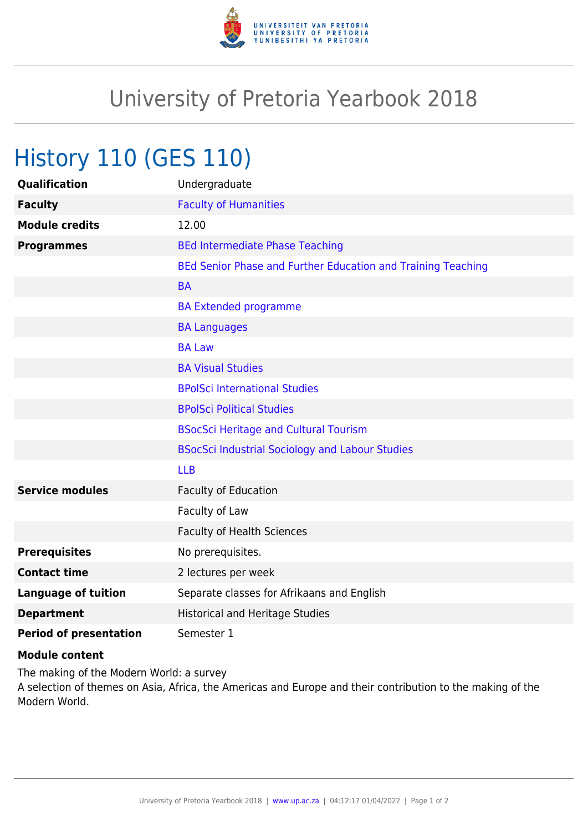

## University of Pretoria Yearbook 2018

## History 110 (GES 110)

| <b>Qualification</b>          | Undergraduate                                                |
|-------------------------------|--------------------------------------------------------------|
| <b>Faculty</b>                | <b>Faculty of Humanities</b>                                 |
| <b>Module credits</b>         | 12.00                                                        |
| <b>Programmes</b>             | <b>BEd Intermediate Phase Teaching</b>                       |
|                               | BEd Senior Phase and Further Education and Training Teaching |
|                               | <b>BA</b>                                                    |
|                               | <b>BA Extended programme</b>                                 |
|                               | <b>BA Languages</b>                                          |
|                               | <b>BA Law</b>                                                |
|                               | <b>BA Visual Studies</b>                                     |
|                               | <b>BPolSci International Studies</b>                         |
|                               | <b>BPolSci Political Studies</b>                             |
|                               | <b>BSocSci Heritage and Cultural Tourism</b>                 |
|                               | <b>BSocSci Industrial Sociology and Labour Studies</b>       |
|                               | <b>LLB</b>                                                   |
| <b>Service modules</b>        | <b>Faculty of Education</b>                                  |
|                               | Faculty of Law                                               |
|                               | <b>Faculty of Health Sciences</b>                            |
| <b>Prerequisites</b>          | No prerequisites.                                            |
| <b>Contact time</b>           | 2 lectures per week                                          |
| <b>Language of tuition</b>    | Separate classes for Afrikaans and English                   |
| <b>Department</b>             | <b>Historical and Heritage Studies</b>                       |
| <b>Period of presentation</b> | Semester 1                                                   |

## **Module content**

The making of the Modern World: a survey A selection of themes on Asia, Africa, the Americas and Europe and their contribution to the making of the Modern World.